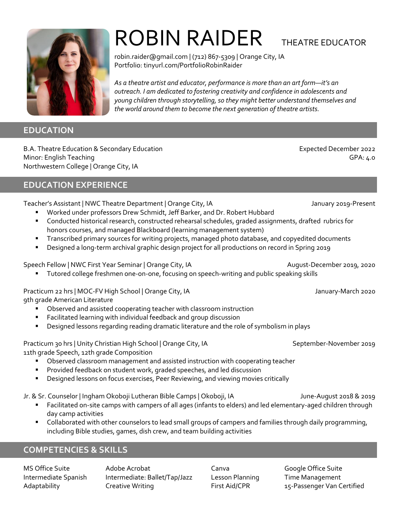

### **EDUCATION**

B.A. Theatre Education & Secondary Education Expected December 2022 Minor: English Teaching GPA: 4.0 Northwestern College | Orange City, IA

### **EDUCATION EXPERIENCE**

Teacher's Assistant | NWC Theatre Department | Orange City, IA January 2019-Present

- Worked under professors Drew Schmidt, Jeff Barker, and Dr. Robert Hubbard
- Conducted historical research, constructed rehearsal schedules, graded assignments, drafted rubrics for honors courses, and managed Blackboard (learning management system)
- Transcribed primary sources for writing projects, managed photo database, and copyedited documents
- Designed a long-term archival graphic design project for all productions on record in Spring 2019

Speech Fellow | NWC First Year Seminar | Orange City, IA August-December 2019, 2020

Tutored college freshmen one-on-one, focusing on speech-writing and public speaking skills

Practicum 22 hrs | MOC-FV High School | Orange City, IA January-March 2020 9th grade American Literature

- Observed and assisted cooperating teacher with classroom instruction
- Facilitated learning with individual feedback and group discussion
- Designed lessons regarding reading dramatic literature and the role of symbolism in plays

| Practicum 30 hrs   Unity Christian High School   Orange City, IA |
|------------------------------------------------------------------|
| 11th grade Speech, 12th grade Composition                        |

- Observed classroom management and assisted instruction with cooperating teacher
- Provided feedback on student work, graded speeches, and led discussion
- Designed lessons on focus exercises, Peer Reviewing, and viewing movies critically

Jr. & Sr. Counselor | Ingham Okoboji Lutheran Bible Camps | Okoboji, IA June-August 2018 & 2019

- Facilitated on-site camps with campers of all ages (infants to elders) and led elementary-aged children through day camp activities
- Collaborated with other counselors to lead small groups of campers and families through daily programming, including Bible studies, games, dish crew, and team building activities

## **COMPETENCIES & SKILLS**

MS Office Suite **Adobe Acrobat** Canva Coogle Office Suite Canva Intermediate Spanish Intermediate: Ballet/Tap/Jazz Lesson Planning Time Management Adaptability Creative Writing First Aid/CPR 15-Passenger Van Certified

ROBIN RAIDER THEATRE EDUCATOR

robin.raider@gmail.com | (712) 867-5309 | Orange City, IA Portfolio: tinyurl.com/PortfolioRobinRaider

*As a theatre artist and educator, performance is more than an art form—it's an outreach. I am dedicated to fostering creativity and confidence in adolescents and young children through storytelling, so they might better understand themselves and the world around them to become the next generation of theatre artists.*

September-November 2019